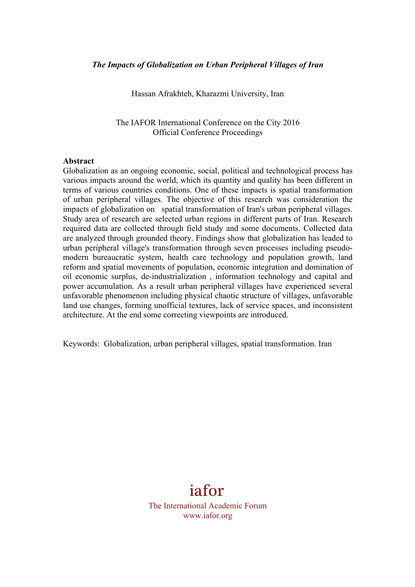Hassan Afrakhteh, Kharazmi University, Iran

The IAFOR International Conference on the City 2016 Official Conference Proceedings

#### **Abstract**

Globalization as an ongoing economic, social, political and technological process has various impacts around the world, which its quantity and quality has been different in terms of various countries conditions. One of these impacts is spatial transformation of urban peripheral villages. The objective of this research was consideration the impacts of globalization on spatial transformation of Iran's urban peripheral villages. Study area of research are selected urban regions in different parts of Iran. Research required data are collected through field study and some documents. Collected data are analyzed through grounded theory. Findings show that globalization has leaded to urban peripheral village's transformation through seven processes including pseudomodern bureaucratic system, health care technology and population growth, land reform and spatial movements of population, economic integration and domination of oil economic surplus, de-industrialization , information technology and capital and power accumulation. As a result urban peripheral villages have experienced several unfavorable phenomenon including physical chaotic structure of villages, unfavorable land use changes, forming unofficial textures, lack of service spaces, and inconsistent architecture. At the end some correcting viewpoints are introduced.

Keywords: Globalization, urban peripheral villages, spatial transformation. Iran

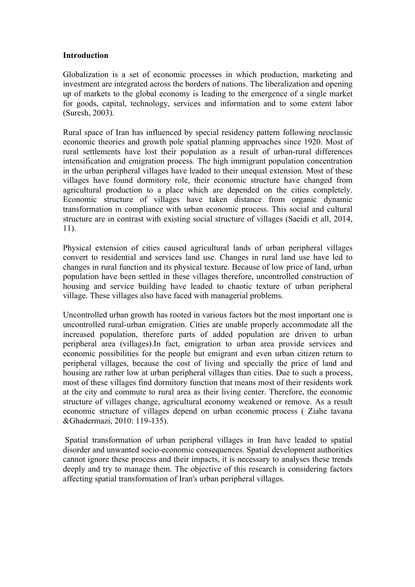#### **Introduction**

Globalization is a set of economic processes in which production, marketing and investment are integrated across the borders of nations. The liberalization and opening up of markets to the global economy is leading to the emergence of a single market for goods, capital, technology, services and information and to some extent labor (Suresh, 2003).

Rural space of Iran has influenced by special residency pattern following neoclassic economic theories and growth pole spatial planning approaches since 1920. Most of rural settlements have lost their population as a result of urban-rural differences intensification and emigration process. The high immigrant population concentration in the urban peripheral villages have leaded to their unequal extension. Most of these villages have found dormitory role, their economic structure have changed from agricultural production to a place which are depended on the cities completely. Economic structure of villages have taken distance from organic dynamic transformation in compliance with urban economic process. This social and cultural structure are in contrast with existing social structure of villages (Saeidi et all, 2014, 11).

Physical extension of cities caused agricultural lands of urban peripheral villages convert to residential and services land use. Changes in rural land use have led to changes in rural function and its physical texture. Because of low price of land, urban population have been settled in these villages therefore, uncontrolled construction of housing and service building have leaded to chaotic texture of urban peripheral village. These villages also have faced with managerial problems.

Uncontrolled urban growth has rooted in various factors but the most important one is uncontrolled rural-urban emigration. Cities are unable properly accommodate all the increased population, therefore parts of added population are driven to urban peripheral area (villages).In fact, emigration to urban area provide services and economic possibilities for the people but emigrant and even urban citizen return to peripheral villages, because the cost of living and specially the price of land and housing are rather low at urban peripheral villages than cities. Due to such a process, most of these villages find dormitory function that means most of their residents work at the city and commute to rural area as their living center. Therefore, the economic structure of villages change, agricultural economy weakened or remove. As a result economic structure of villages depend on urban economic process ( Ziahe tavana &Ghadermazi, 2010: 119-135).

Spatial transformation of urban peripheral villages in Iran have leaded to spatial disorder and unwanted socio-economic consequences. Spatial development authorities cannot ignore these process and their impacts, it is necessary to analyses these trends deeply and try to manage them. The objective of this research is considering factors affecting spatial transformation of Iran's urban peripheral villages.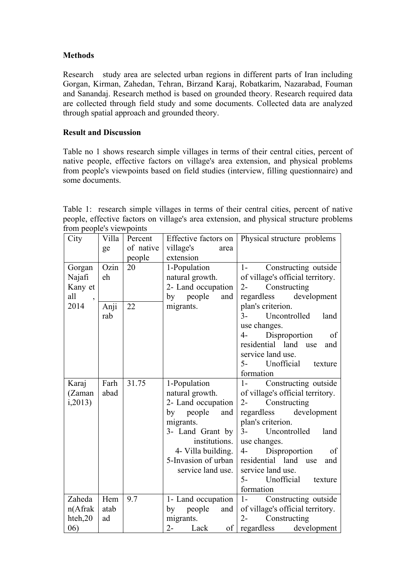# **Methods**

Research study area are selected urban regions in different parts of Iran including Gorgan, Kirman, Zahedan, Tehran, Birzand Karaj, Robatkarim, Nazarabad, Fouman and Sanandaj. Research method is based on grounded theory. Research required data are collected through field study and some documents. Collected data are analyzed through spatial approach and grounded theory.

# **Result and Discussion**

Table no 1 shows research simple villages in terms of their central cities, percent of native people, effective factors on village's area extension, and physical problems from people's viewpoints based on field studies (interview, filling questionnaire) and some documents.

Table 1: research simple villages in terms of their central cities, percent of native people, effective factors on village's area extension, and physical structure problems from people's viewpoints

| City                            | Villa<br>ge | Percent<br>of native | Effective factors on<br>village's<br>area | Physical structure problems      |  |
|---------------------------------|-------------|----------------------|-------------------------------------------|----------------------------------|--|
|                                 |             | people               | extension                                 |                                  |  |
| Gorgan                          | Ozin        | 20                   | 1-Population                              | 1- Constructing outside          |  |
| Najafi                          | eh          |                      | natural growth.                           | of village's official territory. |  |
| Kany et                         |             |                      | 2- Land occupation                        | $2 -$<br>Constructing            |  |
| all<br>$\overline{\phantom{a}}$ |             |                      | by people<br>and                          | development<br>regardless        |  |
| 2014                            | Anji        | 22                   | migrants.                                 | plan's criterion.                |  |
|                                 | rab         |                      |                                           | $3 -$<br>Uncontrolled<br>land    |  |
|                                 |             |                      |                                           | use changes.                     |  |
|                                 |             |                      |                                           | Disproportion<br>$4-$<br>of      |  |
|                                 |             |                      |                                           | residential land use<br>and      |  |
|                                 |             |                      |                                           | service land use.                |  |
|                                 |             |                      |                                           | Unofficial texture<br>$5-$       |  |
|                                 |             |                      |                                           | formation                        |  |
| Karaj                           | Farh        | 31.75                | 1-Population                              | Constructing outside<br>$1-$     |  |
| (Zaman                          | abad        |                      | natural growth.                           | of village's official territory. |  |
| i, 2013                         |             |                      | 2- Land occupation                        | Constructing<br>$2 -$            |  |
|                                 |             |                      | by people and                             | development<br>regardless        |  |
|                                 |             |                      | migrants.                                 | plan's criterion.                |  |
|                                 |             |                      | 3- Land Grant by                          | $3-$<br>Uncontrolled<br>land     |  |
|                                 |             |                      | institutions.<br>use changes.             |                                  |  |
|                                 |             |                      | 4- Villa building.                        | Disproportion<br>$4-$<br>of      |  |
|                                 |             |                      | 5-Invasion of urban                       | residential land use<br>and      |  |
|                                 |             |                      | service land use.                         | service land use.                |  |
|                                 |             |                      |                                           | Unofficial texture<br>$5-$       |  |
|                                 |             |                      |                                           | formation                        |  |
| Zaheda                          | Hem         | 9.7                  | 1- Land occupation                        | $1 -$<br>Constructing outside    |  |
| $n(A$ frak                      | atab        |                      | people<br>by<br>and                       | of village's official territory. |  |
| hteh,20                         | ad          |                      | migrants.                                 | $2 -$<br>Constructing            |  |
| (06)                            |             |                      | $2 -$<br>Lack<br>of                       | regardless<br>development        |  |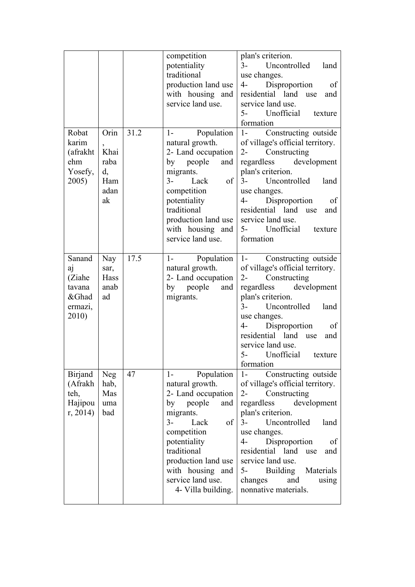| Robat<br>karim<br>(afrakht<br>ehm<br>Yosefy,<br>2005)         | Orin<br>Khai<br>raba<br>d,<br>Ham<br>adan<br>ak | 31.2 | competition<br>potentiality<br>traditional<br>production land use<br>with housing and<br>service land use.<br>Population<br>$1-$<br>natural growth.<br>2- Land occupation<br>by people and<br>migrants.<br>$3-$<br>Lack<br>of<br>competition<br>potentiality<br>traditional<br>production land use<br>with housing and<br>service land use. | plan's criterion.<br>$3-$<br>Uncontrolled<br>land<br>use changes.<br>$4-$<br>Disproportion<br>of<br>residential land<br>use<br>and<br>service land use.<br>Unofficial<br>$5-$<br>texture<br>formation<br>$1 -$<br>Constructing outside<br>of village's official territory.<br>Constructing<br>$2 -$<br>regardless<br>development<br>plan's criterion.<br>$3-$<br>Uncontrolled<br>land<br>use changes.<br>$4-$<br>Disproportion<br><sub>of</sub><br>residential land<br>and<br>use<br>service land use.<br>5- Unofficial<br>texture<br>formation |
|---------------------------------------------------------------|-------------------------------------------------|------|---------------------------------------------------------------------------------------------------------------------------------------------------------------------------------------------------------------------------------------------------------------------------------------------------------------------------------------------|-------------------------------------------------------------------------------------------------------------------------------------------------------------------------------------------------------------------------------------------------------------------------------------------------------------------------------------------------------------------------------------------------------------------------------------------------------------------------------------------------------------------------------------------------|
| Sanand<br>aj<br>(Ziahe<br>tavana<br>&Ghad<br>ermazi,<br>2010) | Nay<br>sar,<br>Hass<br>anab<br>ad               | 17.5 | Population<br>$1-$<br>natural growth.<br>2- Land occupation<br>by people<br>and<br>migrants.                                                                                                                                                                                                                                                | Constructing outside<br>$1 -$<br>of village's official territory.<br>Constructing<br>$2 -$<br>regardless<br>development<br>plan's criterion.<br>Uncontrolled<br>$3-$<br>land<br>use changes.<br>$4-$<br>Disproportion<br><sub>of</sub><br>residential land<br>and<br>use<br>service land use.<br>Unofficial texture<br>$5-$<br>formation                                                                                                                                                                                                        |
| <b>Birjand</b><br>(Afrakh<br>teh,<br>Hajipou<br>r, 2014       | <b>Neg</b><br>hab,<br>Mas<br>uma<br>bad         | 47   | Population<br>$1-$<br>natural growth.<br>2- Land occupation<br>by<br>people<br>and<br>migrants.<br>$% \overline{a}$ of<br>$3-$<br>Lack<br>competition<br>potentiality<br>traditional<br>production land use<br>with housing and<br>service land use.<br>4- Villa building.                                                                  | Constructing outside<br>$1-$<br>of village's official territory.<br>Constructing<br>$2 -$<br>development<br>regardless<br>plan's criterion.<br>$3-$<br>Uncontrolled<br>land<br>use changes.<br>Disproportion<br>$4-$<br>of<br>residential land use<br>and<br>service land use.<br>$5-$<br>Building Materials<br>changes<br>and<br>using<br>nonnative materials.                                                                                                                                                                                 |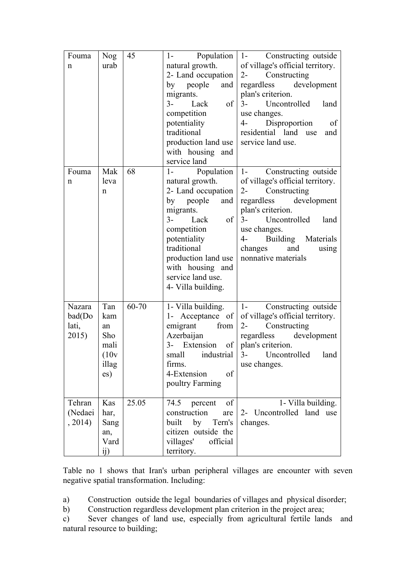| Fouma       | Nog   | 45    | $1-$                                | Population   1- Constructing outside |
|-------------|-------|-------|-------------------------------------|--------------------------------------|
| n           | urab  |       | natural growth.                     | of village's official territory.     |
|             |       |       | 2- Land occupation                  | $2 -$<br>Constructing                |
|             |       |       | by people and                       | regardless development               |
|             |       |       | migrants.                           | plan's criterion.                    |
|             |       |       | $3-$<br>Lack<br>of                  | $3-$<br>Uncontrolled<br>land         |
|             |       |       | competition                         | use changes.                         |
|             |       |       | potentiality                        | 4- Disproportion<br>of               |
|             |       |       | traditional                         | residential land use<br>and          |
|             |       |       | production land use                 | service land use.                    |
|             |       |       | with housing and                    |                                      |
|             |       |       | service land                        |                                      |
| Fouma       | Mak   | 68    | $1-$                                | Population   1- Constructing outside |
|             |       |       |                                     |                                      |
| $\mathbf n$ | leva  |       | natural growth.                     | of village's official territory.     |
|             | n     |       | 2- Land occupation                  | 2- Constructing                      |
|             |       |       | by<br>people<br>and                 | regardless development               |
|             |       |       | migrants.                           | plan's criterion.                    |
|             |       |       | $3-$<br>Lack<br>of                  | 3- Uncontrolled land                 |
|             |       |       | competition                         | use changes.                         |
|             |       |       | potentiality                        | Building Materials<br>4-             |
|             |       |       | traditional                         | changes<br>and<br>using              |
|             |       |       | production land use                 | nonnative materials                  |
|             |       |       | with housing and                    |                                      |
|             |       |       | service land use.                   |                                      |
|             |       |       | 4- Villa building.                  |                                      |
|             |       |       |                                     |                                      |
| Nazara      | Tan   | 60-70 | 1- Villa building.                  | 1- Constructing outside              |
| bad(Do      | kam   |       | 1- Acceptance of                    | of village's official territory.     |
| lati,       | an    |       | from<br>emigrant                    | Constructing<br>$2 -$                |
| 2015)       | Sho   |       | Azerbaijan                          | regardless<br>development            |
|             | mali  |       | 3- Extension of   plan's criterion. |                                      |
|             | (10v) |       | small<br>industrial                 | $3-$<br>Uncontrolled<br>land         |
|             | illag |       | firms.                              | use changes.                         |
|             |       |       | 4-Extension<br>of                   |                                      |
|             | es)   |       | poultry Farming                     |                                      |
|             |       |       |                                     |                                      |
| Tehran      | Kas   | 25.05 | 74.5<br>percent<br>of               | 1- Villa building.                   |
| (Nedaei     |       |       | construction                        | 2- Uncontrolled land use             |
|             | har,  |       | are                                 |                                      |
| , 2014)     | Sang  |       | built<br>by<br>Tern's               | changes.                             |
|             | an,   |       | citizen outside the                 |                                      |
|             | Vard  |       | villages'<br>official               |                                      |
|             | ij)   |       | territory.                          |                                      |

Table no 1 shows that Iran's urban peripheral villages are encounter with seven negative spatial transformation. Including:

a) Construction outside the legal boundaries of villages and physical disorder;

b) Construction regardless development plan criterion in the project area;

c) Sever changes of land use, especially from agricultural fertile lands and natural resource to building;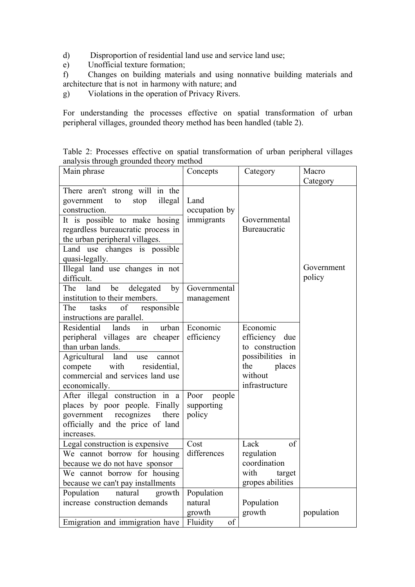- d) Disproportion of residential land use and service land use;
- e) Unofficial texture formation;

f) Changes on building materials and using nonnative building materials and architecture that is not in harmony with nature; and

g) Violations in the operation of Privacy Rivers.

For understanding the processes effective on spatial transformation of urban peripheral villages, grounded theory method has been handled (table 2).

Table 2: Processes effective on spatial transformation of urban peripheral villages analysis through grounded theory method

| Main phrase                                                            | Concepts       | Category         | Macro      |
|------------------------------------------------------------------------|----------------|------------------|------------|
|                                                                        |                |                  | Category   |
| There aren't strong will in the<br>illegal<br>government<br>to<br>stop | Land           |                  |            |
| construction.                                                          | occupation by  |                  |            |
| It is possible to make hosing                                          | immigrants     | Governmental     |            |
| regardless bureaucratic process in                                     |                | Bureaucratic     |            |
| the urban peripheral villages.                                         |                |                  |            |
| Land use changes is possible                                           |                |                  |            |
| quasi-legally.<br>Illegal land use changes in not                      |                |                  | Government |
| difficult.                                                             |                |                  | policy     |
| by<br>The<br>land<br>delegated<br>be                                   | Governmental   |                  |            |
| institution to their members.                                          | management     |                  |            |
| tasks<br>responsible<br>The<br>of                                      |                |                  |            |
| instructions are parallel.                                             |                |                  |            |
| Residential<br>lands<br>urban<br>in                                    | Economic       | Economic         |            |
| peripheral villages are cheaper                                        | efficiency     | efficiency due   |            |
| than urban lands.                                                      |                | to construction  |            |
| Agricultural<br>land<br>use<br>cannot                                  |                | possibilities in |            |
| with<br>residential,<br>compete                                        |                | the<br>places    |            |
| commercial and services land use                                       |                | without          |            |
| economically.                                                          |                | infrastructure   |            |
| After illegal construction in a                                        | Poor people    |                  |            |
| places by poor people. Finally<br>there                                | supporting     |                  |            |
| government<br>recognizes<br>officially and the price of land           | policy         |                  |            |
| increases.                                                             |                |                  |            |
| Legal construction is expensive                                        | Cost           | Lack<br>of       |            |
| We cannot borrow for housing                                           | differences    | regulation       |            |
| because we do not have sponsor                                         |                | coordination     |            |
| We cannot borrow for housing                                           |                | with<br>target   |            |
| because we can't pay installments                                      |                | gropes abilities |            |
| Population<br>natural<br>growth                                        | Population     |                  |            |
| increase construction demands                                          | natural        | Population       |            |
|                                                                        | growth         | growth           | population |
| Emigration and immigration have                                        | of<br>Fluidity |                  |            |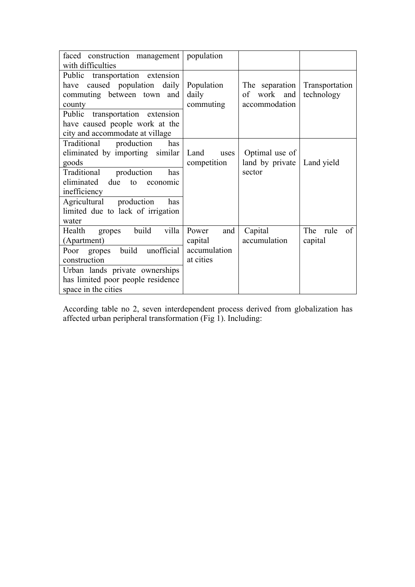| faced construction management<br>with difficulties                                                                                                                                                                                                      | population                                           |                                                   |                              |
|---------------------------------------------------------------------------------------------------------------------------------------------------------------------------------------------------------------------------------------------------------|------------------------------------------------------|---------------------------------------------------|------------------------------|
| Public transportation extension<br>caused population daily<br>have<br>commuting between town and<br>county<br>Public<br>transportation extension<br>have caused people work at the<br>city and accommodate at village                                   | Population<br>daily<br>commuting                     | The separation<br>work and<br>οf<br>accommodation | Transportation<br>technology |
| Traditional<br>production<br>has<br>eliminated by importing similar<br>goods<br>Traditional<br>production<br>has<br>eliminated<br>due<br>to<br>economic<br>inefficiency<br>Agricultural production<br>has<br>limited due to lack of irrigation<br>water | Land<br>uses<br>competition                          | Optimal use of<br>land by private<br>sector       | Land yield                   |
| build<br>villa<br>Health<br>gropes<br>(Apartment)<br>unofficial<br>build<br>Poor gropes<br>construction<br>Urban lands private ownerships<br>has limited poor people residence<br>space in the cities                                                   | Power<br>and<br>capital<br>accumulation<br>at cities | Capital<br>accumulation                           | The rule<br>of<br>capital    |

According table no 2, seven interdependent process derived from globalization has affected urban peripheral transformation (Fig 1). Including: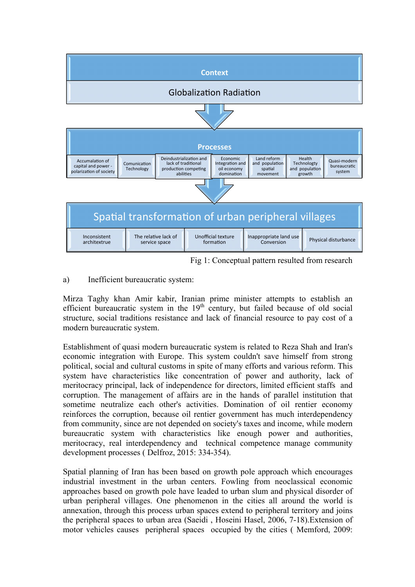

Fig 1: Conceptual pattern resulted from research

a) Inefficient bureaucratic system:

Mirza Taghy khan Amir kabir, Iranian prime minister attempts to establish an efficient bureaucratic system in the  $19<sup>th</sup>$  century, but failed because of old social structure, social traditions resistance and lack of financial resource to pay cost of a modern bureaucratic system.

Establishment of quasi modern bureaucratic system is related to Reza Shah and Iran's economic integration with Europe. This system couldn't save himself from strong political, social and cultural customs in spite of many efforts and various reform. This system have characteristics like concentration of power and authority, lack of meritocracy principal, lack of independence for directors, limited efficient staffs and corruption. The management of affairs are in the hands of parallel institution that sometime neutralize each other's activities. Domination of oil rentier economy reinforces the corruption, because oil rentier government has much interdependency from community, since are not depended on society's taxes and income, while modern bureaucratic system with characteristics like enough power and authorities, meritocracy, real interdependency and technical competence manage community development processes ( Delfroz, 2015: 334-354).

Spatial planning of Iran has been based on growth pole approach which encourages industrial investment in the urban centers. Fowling from neoclassical economic approaches based on growth pole have leaded to urban slum and physical disorder of urban peripheral villages. One phenomenon in the cities all around the world is annexation, through this process urban spaces extend to peripheral territory and joins the peripheral spaces to urban area (Saeidi , Hoseini Hasel, 2006, 7-18).Extension of motor vehicles causes peripheral spaces occupied by the cities ( Memford, 2009: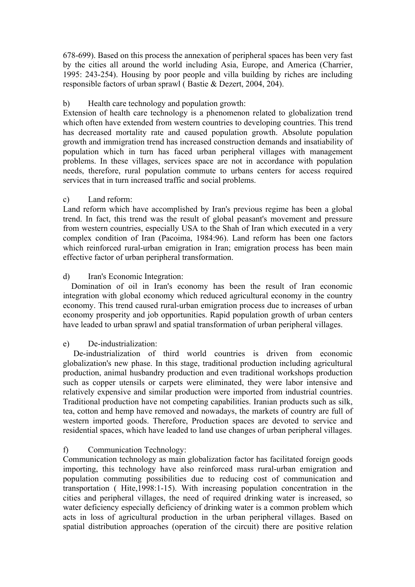678-699). Based on this process the annexation of peripheral spaces has been very fast by the cities all around the world including Asia, Europe, and America (Charrier, 1995: 243-254). Housing by poor people and villa building by riches are including responsible factors of urban sprawl ( Bastie & Dezert, 2004, 204).

### b) Health care technology and population growth:

Extension of health care technology is a phenomenon related to globalization trend which often have extended from western countries to developing countries. This trend has decreased mortality rate and caused population growth. Absolute population growth and immigration trend has increased construction demands and insatiability of population which in turn has faced urban peripheral villages with management problems. In these villages, services space are not in accordance with population needs, therefore, rural population commute to urbans centers for access required services that in turn increased traffic and social problems.

# c) Land reform:

Land reform which have accomplished by Iran's previous regime has been a global trend. In fact, this trend was the result of global peasant's movement and pressure from western countries, especially USA to the Shah of Iran which executed in a very complex condition of Iran (Pacoima, 1984:96). Land reform has been one factors which reinforced rural-urban emigration in Iran; emigration process has been main effective factor of urban peripheral transformation.

# d) Iran's Economic Integration:

 Domination of oil in Iran's economy has been the result of Iran economic integration with global economy which reduced agricultural economy in the country economy. This trend caused rural-urban emigration process due to increases of urban economy prosperity and job opportunities. Rapid population growth of urban centers have leaded to urban sprawl and spatial transformation of urban peripheral villages.

### e) De-industrialization:

 De-industrialization of third world countries is driven from economic globalization's new phase. In this stage, traditional production including agricultural production, animal husbandry production and even traditional workshops production such as copper utensils or carpets were eliminated, they were labor intensive and relatively expensive and similar production were imported from industrial countries. Traditional production have not competing capabilities. Iranian products such as silk, tea, cotton and hemp have removed and nowadays, the markets of country are full of western imported goods. Therefore, Production spaces are devoted to service and residential spaces, which have leaded to land use changes of urban peripheral villages.

# f) Communication Technology:

Communication technology as main globalization factor has facilitated foreign goods importing, this technology have also reinforced mass rural-urban emigration and population commuting possibilities due to reducing cost of communication and transportation ( Hite,1998:1-15). With increasing population concentration in the cities and peripheral villages, the need of required drinking water is increased, so water deficiency especially deficiency of drinking water is a common problem which acts in loss of agricultural production in the urban peripheral villages. Based on spatial distribution approaches (operation of the circuit) there are positive relation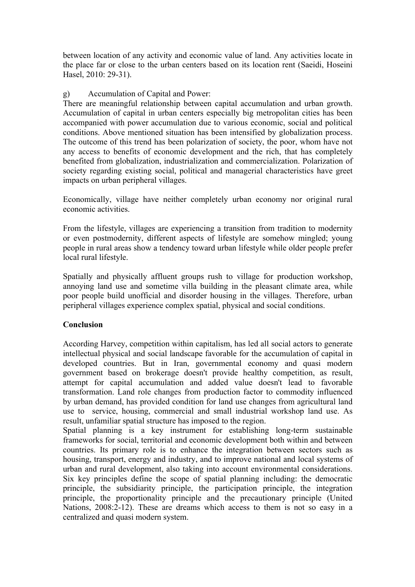between location of any activity and economic value of land. Any activities locate in the place far or close to the urban centers based on its location rent (Saeidi, Hoseini Hasel, 2010: 29-31).

#### g) Accumulation of Capital and Power:

There are meaningful relationship between capital accumulation and urban growth. Accumulation of capital in urban centers especially big metropolitan cities has been accompanied with power accumulation due to various economic, social and political conditions. Above mentioned situation has been intensified by globalization process. The outcome of this trend has been polarization of society, the poor, whom have not any access to benefits of economic development and the rich, that has completely benefited from globalization, industrialization and commercialization. Polarization of society regarding existing social, political and managerial characteristics have greet impacts on urban peripheral villages.

Economically, village have neither completely urban economy nor original rural economic activities.

From the lifestyle, villages are experiencing a transition from tradition to modernity or even postmodernity, different aspects of lifestyle are somehow mingled; young people in rural areas show a tendency toward urban lifestyle while older people prefer local rural lifestyle.

Spatially and physically affluent groups rush to village for production workshop, annoying land use and sometime villa building in the pleasant climate area, while poor people build unofficial and disorder housing in the villages. Therefore, urban peripheral villages experience complex spatial, physical and social conditions.

### **Conclusion**

According Harvey, competition within capitalism, has led all social actors to generate intellectual physical and social landscape favorable for the accumulation of capital in developed countries. But in Iran, governmental economy and quasi modern government based on brokerage doesn't provide healthy competition, as result, attempt for capital accumulation and added value doesn't lead to favorable transformation. Land role changes from production factor to commodity influenced by urban demand, has provided condition for land use changes from agricultural land use to service, housing, commercial and small industrial workshop land use. As result, unfamiliar spatial structure has imposed to the region.

Spatial planning is a key instrument for establishing long-term sustainable frameworks for social, territorial and economic development both within and between countries. Its primary role is to enhance the integration between sectors such as housing, transport, energy and industry, and to improve national and local systems of urban and rural development, also taking into account environmental considerations. Six key principles define the scope of spatial planning including: the democratic principle, the subsidiarity principle, the participation principle, the integration principle, the proportionality principle and the precautionary principle (United Nations, 2008:2-12). These are dreams which access to them is not so easy in a centralized and quasi modern system.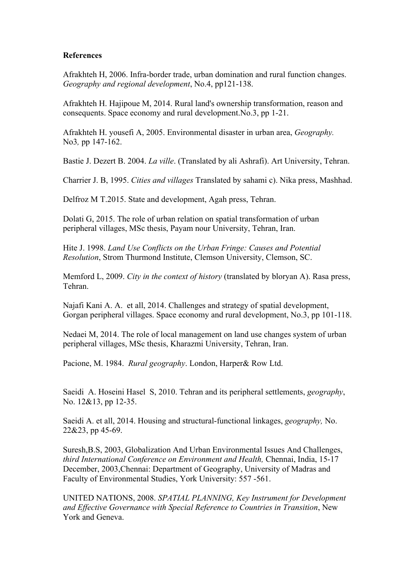#### **References**

Afrakhteh H, 2006. Infra-border trade, urban domination and rural function changes. *Geography and regional development*, No.4, pp121-138.

Afrakhteh H. Hajipoue M, 2014. Rural land's ownership transformation, reason and consequents. Space economy and rural development.No.3, pp 1-21.

Afrakhteh H. yousefi A, 2005. Environmental disaster in urban area, *Geography.*  No3*,* pp 147-162.

Bastie J. Dezert B. 2004. *La ville*. (Translated by ali Ashrafi). Art University, Tehran.

Charrier J. B, 1995. *Cities and villages* Translated by sahami c). Nika press, Mashhad.

Delfroz M T.2015. State and development, Agah press, Tehran.

Dolati G, 2015. The role of urban relation on spatial transformation of urban peripheral villages, MSc thesis, Payam nour University, Tehran, Iran.

Hite J. 1998. *Land Use Conflicts on the Urban Fringe: Causes and Potential Resolution*, Strom Thurmond Institute, Clemson University, Clemson, SC.

Memford L, 2009. *City in the context of history* (translated by bloryan A). Rasa press, Tehran.

Najafi Kani A. A. et all, 2014. Challenges and strategy of spatial development, Gorgan peripheral villages. Space economy and rural development, No.3, pp 101-118.

Nedaei M, 2014. The role of local management on land use changes system of urban peripheral villages, MSc thesis, Kharazmi University, Tehran, Iran.

Pacione, M. 1984. *Rural geography*. London, Harper& Row Ltd.

Saeidi A. Hoseini Hasel S, 2010. Tehran and its peripheral settlements, *geography*, No. 12&13, pp 12-35.

Saeidi A. et all, 2014. Housing and structural-functional linkages, *geography,* No. 22&23, pp 45-69.

Suresh,B.S, 2003, Globalization And Urban Environmental Issues And Challenges, *third International Conference on Environment and Health,* Chennai, India, 15-17 December, 2003,Chennai: Department of Geography, University of Madras and Faculty of Environmental Studies, York University: 557 -561.

UNITED NATIONS, 2008. *SPATIAL PLANNING, Key Instrument for Development and Effective Governance with Special Reference to Countries in Transition*, New York and Geneva.